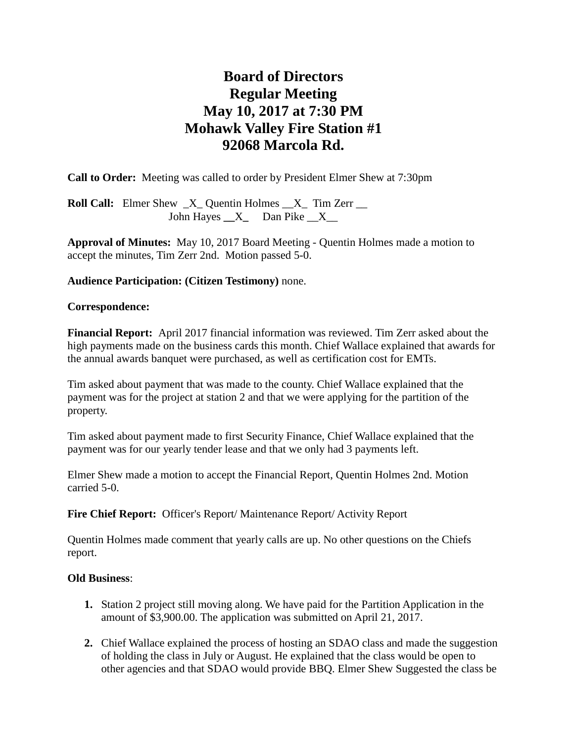# **Board of Directors Regular Meeting May 10, 2017 at 7:30 PM Mohawk Valley Fire Station #1 92068 Marcola Rd.**

**Call to Order:** Meeting was called to order by President Elmer Shew at 7:30pm

**Roll Call:** Elmer Shew  $X$  Quentin Holmes  $X$  Tim Zerr \_\_ John Hayes **\_\_**X**\_** Dan Pike \_\_X\_\_

**Approval of Minutes:** May 10, 2017 Board Meeting - Quentin Holmes made a motion to accept the minutes, Tim Zerr 2nd. Motion passed 5-0.

# **Audience Participation: (Citizen Testimony)** none.

### **Correspondence:**

**Financial Report:** April 2017 financial information was reviewed. Tim Zerr asked about the high payments made on the business cards this month. Chief Wallace explained that awards for the annual awards banquet were purchased, as well as certification cost for EMTs.

Tim asked about payment that was made to the county. Chief Wallace explained that the payment was for the project at station 2 and that we were applying for the partition of the property.

Tim asked about payment made to first Security Finance, Chief Wallace explained that the payment was for our yearly tender lease and that we only had 3 payments left.

Elmer Shew made a motion to accept the Financial Report, Quentin Holmes 2nd. Motion carried 5-0.

Fire Chief Report: Officer's Report/ Maintenance Report/ Activity Report

Quentin Holmes made comment that yearly calls are up. No other questions on the Chiefs report.

# **Old Business**:

- **1.** Station 2 project still moving along. We have paid for the Partition Application in the amount of \$3,900.00. The application was submitted on April 21, 2017.
- **2.** Chief Wallace explained the process of hosting an SDAO class and made the suggestion of holding the class in July or August. He explained that the class would be open to other agencies and that SDAO would provide BBQ. Elmer Shew Suggested the class be